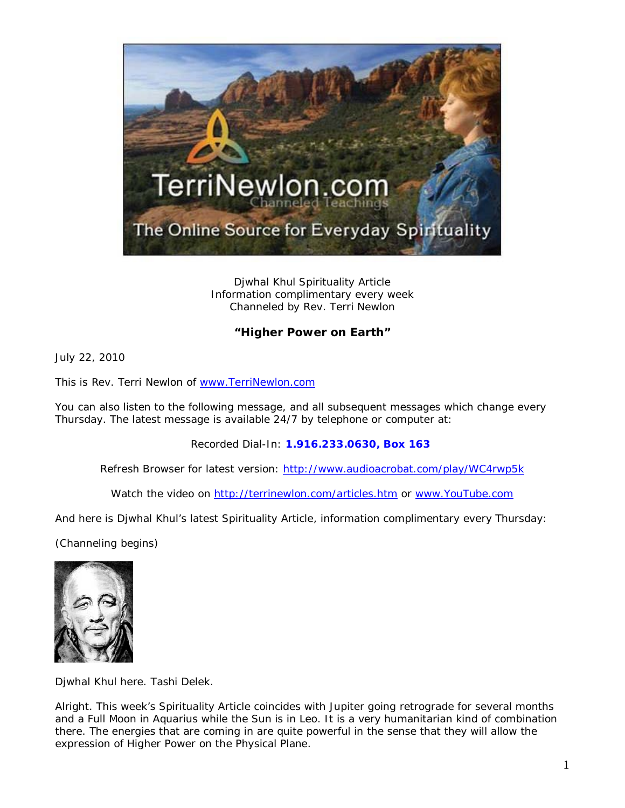

Djwhal Khul Spirituality Article Information complimentary every week Channeled by Rev. Terri Newlon

## **"Higher Power on Earth"**

July 22, 2010

This is Rev. Terri Newlon of [www.TerriNewlon.com](http://www.terrinewlon.com/)

You can also listen to the following message, and all subsequent messages which change every Thursday. The latest message is available 24/7 by telephone or computer at:

Recorded Dial-In: **1.916.233.0630, Box 163**

Refresh Browser for latest version: <http://www.audioacrobat.com/play/WC4rwp5k>

Watch the video on<http://terrinewlon.com/articles.htm> or [www.YouTube.com](http://www.youtube.com/)

And here is Djwhal Khul's latest Spirituality Article, information complimentary every Thursday:

(Channeling begins)



Djwhal Khul here. Tashi Delek.

Alright. This week's Spirituality Article coincides with Jupiter going retrograde for several months and a Full Moon in Aquarius while the Sun is in Leo. It is a very humanitarian kind of combination there. The energies that are coming in are quite powerful in the sense that they will allow the expression of Higher Power on the Physical Plane.